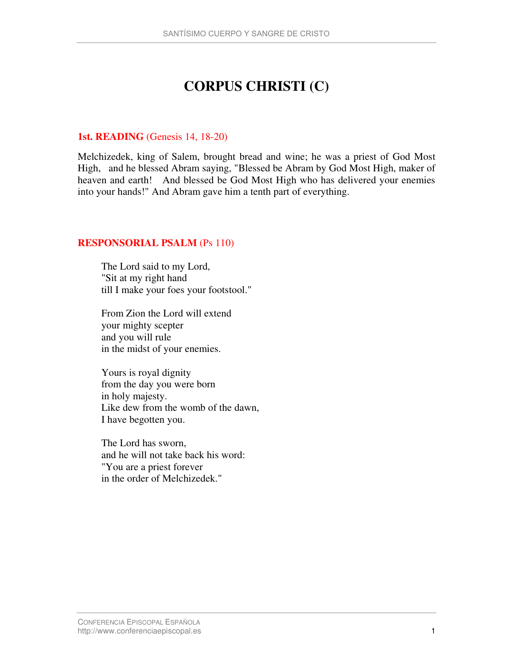# **CORPUS CHRISTI (C)**

### **1st. READING** (Genesis 14, 18-20)

Melchizedek, king of Salem, brought bread and wine; he was a priest of God Most High, and he blessed Abram saying, "Blessed be Abram by God Most High, maker of heaven and earth! And blessed be God Most High who has delivered your enemies into your hands!" And Abram gave him a tenth part of everything.

# **RESPONSORIAL PSALM** (Ps 110)

The Lord said to my Lord, "Sit at my right hand till I make your foes your footstool."

From Zion the Lord will extend your mighty scepter and you will rule in the midst of your enemies.

Yours is royal dignity from the day you were born in holy majesty. Like dew from the womb of the dawn, I have begotten you.

The Lord has sworn, and he will not take back his word: "You are a priest forever in the order of Melchizedek."